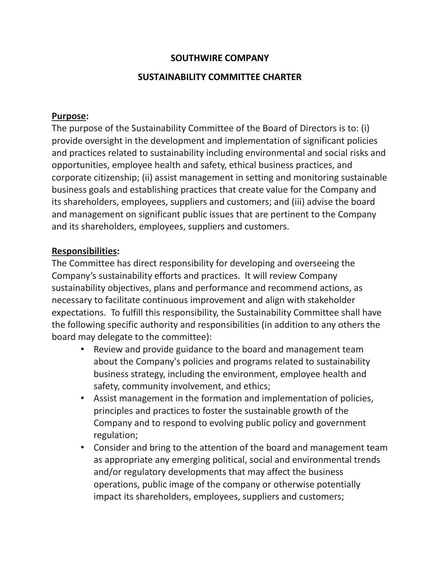# **SOUTHWIRE COMPANY**

### **SUSTAINABILITY COMMITTEE CHARTER**

#### **Purpose:**

The purpose of the Sustainability Committee of the Board of Directors is to: (i) provide oversight in the development and implementation of significant policies and practices related to sustainability including environmental and social risks and opportunities, employee health and safety, ethical business practices, and corporate citizenship; (ii) assist management in setting and monitoring sustainable business goals and establishing practices that create value for the Company and its shareholders, employees, suppliers and customers; and (iii) advise the board and management on significant public issues that are pertinent to the Company and its shareholders, employees, suppliers and customers.

#### **Responsibilities:**

The Committee has direct responsibility for developing and overseeing the Company's sustainability efforts and practices. It will review Company sustainability objectives, plans and performance and recommend actions, as necessary to facilitate continuous improvement and align with stakeholder expectations. To fulfill this responsibility, the Sustainability Committee shall have the following specific authority and responsibilities (in addition to any others the board may delegate to the committee):

- Review and provide guidance to the board and management team about the Company's policies and programs related to sustainability business strategy, including the environment, employee health and safety, community involvement, and ethics;
- Assist management in the formation and implementation of policies, principles and practices to foster the sustainable growth of the Company and to respond to evolving public policy and government regulation;
- Consider and bring to the attention of the board and management team as appropriate any emerging political, social and environmental trends and/or regulatory developments that may affect the business operations, public image of the company or otherwise potentially impact its shareholders, employees, suppliers and customers;